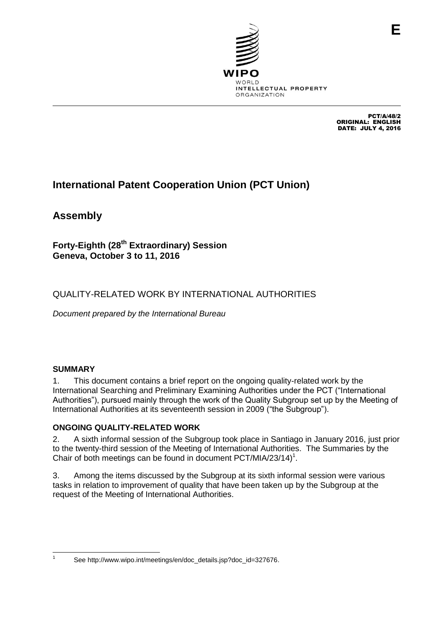

PCT/A/48/2 ORIGINAL: ENGLISH DATE: JULY 4, 2016

**E**

## **International Patent Cooperation Union (PCT Union)**

**Assembly**

**Forty-Eighth (28th Extraordinary) Session Geneva, October 3 to 11, 2016**

## QUALITY-RELATED WORK BY INTERNATIONAL AUTHORITIES

*Document prepared by the International Bureau*

## **SUMMARY**

1. This document contains a brief report on the ongoing quality-related work by the International Searching and Preliminary Examining Authorities under the PCT ("International Authorities"), pursued mainly through the work of the Quality Subgroup set up by the Meeting of International Authorities at its seventeenth session in 2009 ("the Subgroup").

## **ONGOING QUALITY-RELATED WORK**

2. A sixth informal session of the Subgroup took place in Santiago in January 2016, just prior to the twenty-third session of the Meeting of International Authorities. The Summaries by the Chair of both meetings can be found in document PCT/MIA/23/14)<sup>1</sup>.

3. Among the items discussed by the Subgroup at its sixth informal session were various tasks in relation to improvement of quality that have been taken up by the Subgroup at the request of the Meeting of International Authorities.

 $\frac{1}{1}$ 

See http://www.wipo.int/meetings/en/doc\_details.jsp?doc\_id=327676.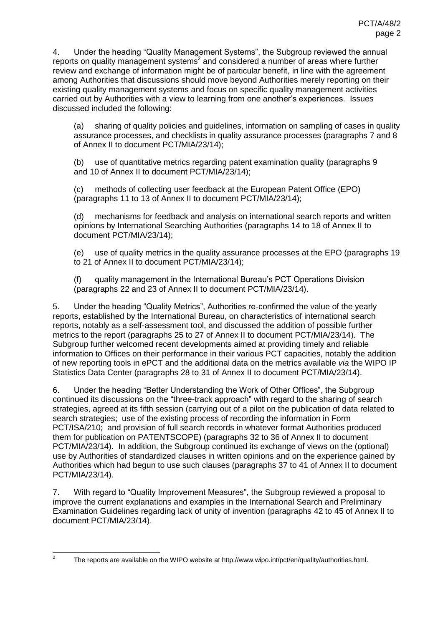4. Under the heading "Quality Management Systems", the Subgroup reviewed the annual reports on quality management systems<sup>2</sup> and considered a number of areas where further review and exchange of information might be of particular benefit, in line with the agreement among Authorities that discussions should move beyond Authorities merely reporting on their existing quality management systems and focus on specific quality management activities carried out by Authorities with a view to learning from one another's experiences. Issues discussed included the following:

(a) sharing of quality policies and guidelines, information on sampling of cases in quality assurance processes, and checklists in quality assurance processes (paragraphs 7 and 8 of Annex II to document PCT/MIA/23/14);

(b) use of quantitative metrics regarding patent examination quality (paragraphs 9 and 10 of Annex II to document PCT/MIA/23/14);

(c) methods of collecting user feedback at the European Patent Office (EPO) (paragraphs 11 to 13 of Annex II to document PCT/MIA/23/14);

(d) mechanisms for feedback and analysis on international search reports and written opinions by International Searching Authorities (paragraphs 14 to 18 of Annex II to document PCT/MIA/23/14);

(e) use of quality metrics in the quality assurance processes at the EPO (paragraphs 19 to 21 of Annex II to document PCT/MIA/23/14);

(f) quality management in the International Bureau's PCT Operations Division (paragraphs 22 and 23 of Annex II to document PCT/MIA/23/14).

5. Under the heading "Quality Metrics", Authorities re-confirmed the value of the yearly reports, established by the International Bureau, on characteristics of international search reports, notably as a self-assessment tool, and discussed the addition of possible further metrics to the report (paragraphs 25 to 27 of Annex II to document PCT/MIA/23/14). The Subgroup further welcomed recent developments aimed at providing timely and reliable information to Offices on their performance in their various PCT capacities, notably the addition of new reporting tools in ePCT and the additional data on the metrics available *via* the WIPO IP Statistics Data Center (paragraphs 28 to 31 of Annex II to document PCT/MIA/23/14).

6. Under the heading "Better Understanding the Work of Other Offices", the Subgroup continued its discussions on the "three-track approach" with regard to the sharing of search strategies, agreed at its fifth session (carrying out of a pilot on the publication of data related to search strategies; use of the existing process of recording the information in Form PCT/ISA/210; and provision of full search records in whatever format Authorities produced them for publication on PATENTSCOPE) (paragraphs 32 to 36 of Annex II to document PCT/MIA/23/14). In addition, the Subgroup continued its exchange of views on the (optional) use by Authorities of standardized clauses in written opinions and on the experience gained by Authorities which had begun to use such clauses (paragraphs 37 to 41 of Annex II to document PCT/MIA/23/14).

7. With regard to "Quality Improvement Measures", the Subgroup reviewed a proposal to improve the current explanations and examples in the International Search and Preliminary Examination Guidelines regarding lack of unity of invention (paragraphs 42 to 45 of Annex II to document PCT/MIA/23/14).

 $\frac{1}{2}$ 

The reports are available on the WIPO website at [http://www.wipo.int/pct/en/quality/authorities.html.](http://www.wipo.int/pct/en/quality/authorities.html)